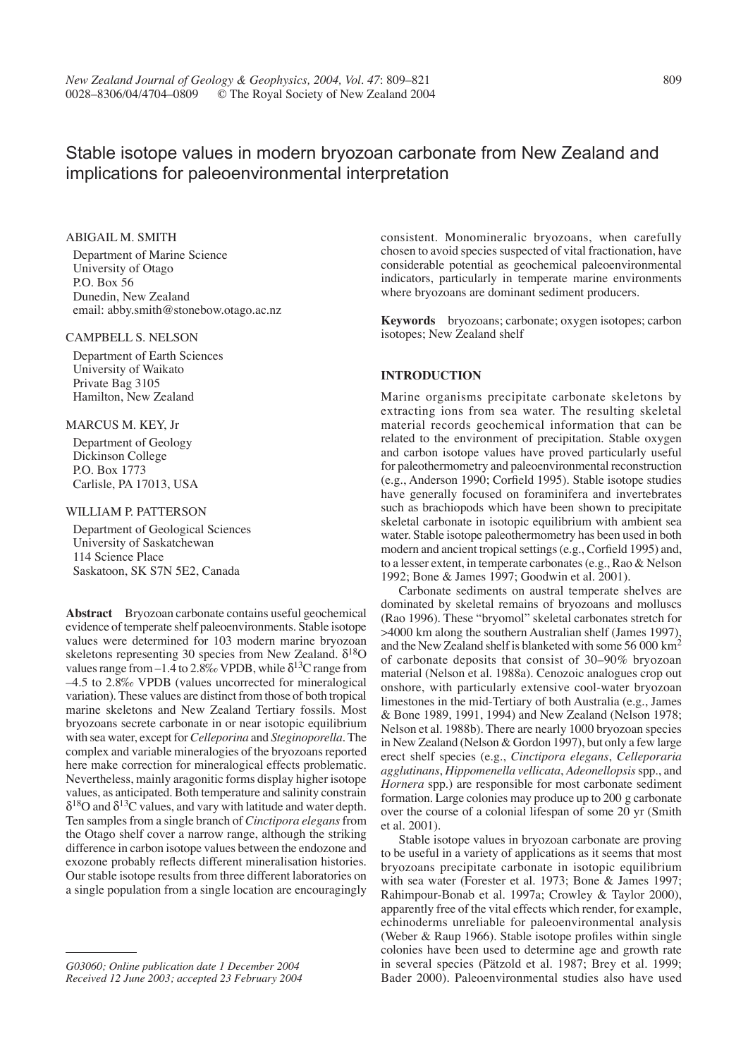# Stable isotope values in modern bryozoan carbonate from New Zealand and implications for paleoenvironmental interpretation

# ABIGAIL M. SMITH

Department of Marine Science University of Otago P.O. Box 56 Dunedin, New Zealand email: abby.smith@stonebow.otago.ac.nz

#### CAMPBELL S. NELSON

Department of Earth Sciences University of Waikato Private Bag 3105 Hamilton, New Zealand

#### MARCUS M. KEY, Jr

Department of Geology Dickinson College P.O. Box 1773 Carlisle, PA 17013, USA

# WILLIAM P. PATTERSON

Department of Geological Sciences University of Saskatchewan 114 Science Place Saskatoon, SK S7N 5E2, Canada

**Abstract** Bryozoan carbonate contains useful geochemical evidence of temperate shelf paleoenvironments. Stable isotope values were determined for 103 modern marine bryozoan skeletons representing 30 species from New Zealand.  $\delta^{18}O$ values range from –1.4 to 2.8‰ VPDB, while  $\delta^{13}C$  range from –4.5 to 2.8‰ VPDB (values uncorrected for mineralogical variation). These values are distinct from those of both tropical marine skeletons and New Zealand Tertiary fossils. Most bryozoans secrete carbonate in or near isotopic equilibrium with sea water, except for *Celleporina* and *Steginoporella*. The complex and variable mineralogies of the bryozoans reported here make correction for mineralogical effects problematic. Nevertheless, mainly aragonitic forms display higher isotope values, as anticipated. Both temperature and salinity constrain  $\delta^{18}$ O and  $\delta^{13}$ C values, and vary with latitude and water depth. Ten samples from a single branch of *Cinctipora elegans* from the Otago shelf cover a narrow range, although the striking difference in carbon isotope values between the endozone and exozone probably reflects different mineralisation histories. Our stable isotope results from three different laboratories on a single population from a single location are encouragingly

consistent. Monomineralic bryozoans, when carefully chosen to avoid species suspected of vital fractionation, have considerable potential as geochemical paleoenvironmental indicators, particularly in temperate marine environments where bryozoans are dominant sediment producers.

**Keywords** bryozoans; carbonate; oxygen isotopes; carbon isotopes; New Zealand shelf

### **INTRODUCTION**

Marine organisms precipitate carbonate skeletons by extracting ions from sea water. The resulting skeletal material records geochemical information that can be related to the environment of precipitation. Stable oxygen and carbon isotope values have proved particularly useful for paleothermometry and paleoenvironmental reconstruction (e.g., Anderson 1990; Corfield 1995). Stable isotope studies have generally focused on foraminifera and invertebrates such as brachiopods which have been shown to precipitate skeletal carbonate in isotopic equilibrium with ambient sea water. Stable isotope paleothermometry has been used in both modern and ancient tropical settings (e.g., Corfield 1995) and, to a lesser extent, in temperate carbonates (e.g., Rao & Nelson 1992; Bone & James 1997; Goodwin et al. 2001).

Carbonate sediments on austral temperate shelves are dominated by skeletal remains of bryozoans and molluscs (Rao 1996). These "bryomol" skeletal carbonates stretch for >4000 km along the southern Australian shelf (James 1997), and the New Zealand shelf is blanketed with some 56 000 km2 of carbonate deposits that consist of 30–90% bryozoan material (Nelson et al. 1988a). Cenozoic analogues crop out onshore, with particularly extensive cool-water bryozoan limestones in the mid-Tertiary of both Australia (e.g., James & Bone 1989, 1991, 1994) and New Zealand (Nelson 1978; Nelson et al. 1988b). There are nearly 1000 bryozoan species in New Zealand (Nelson & Gordon 1997), but only a few large erect shelf species (e.g., *Cinctipora elegans*, *Celleporaria agglutinans*, *Hippomenella vellicata*, *Adeonellopsis* spp., and *Hornera* spp.) are responsible for most carbonate sediment formation. Large colonies may produce up to 200 g carbonate over the course of a colonial lifespan of some 20 yr (Smith et al. 2001).

Stable isotope values in bryozoan carbonate are proving to be useful in a variety of applications as it seems that most bryozoans precipitate carbonate in isotopic equilibrium with sea water (Forester et al. 1973; Bone & James 1997; Rahimpour-Bonab et al. 1997a; Crowley & Taylor 2000), apparently free of the vital effects which render, for example, echinoderms unreliable for paleoenvironmental analysis (Weber & Raup 1966). Stable isotope profiles within single colonies have been used to determine age and growth rate in several species (Pätzold et al. 1987; Brey et al. 1999; Bader 2000). Paleoenvironmental studies also have used

*G03060; Online publication date 1 December 2004 Received 12 June 2003; accepted 23 February 2004*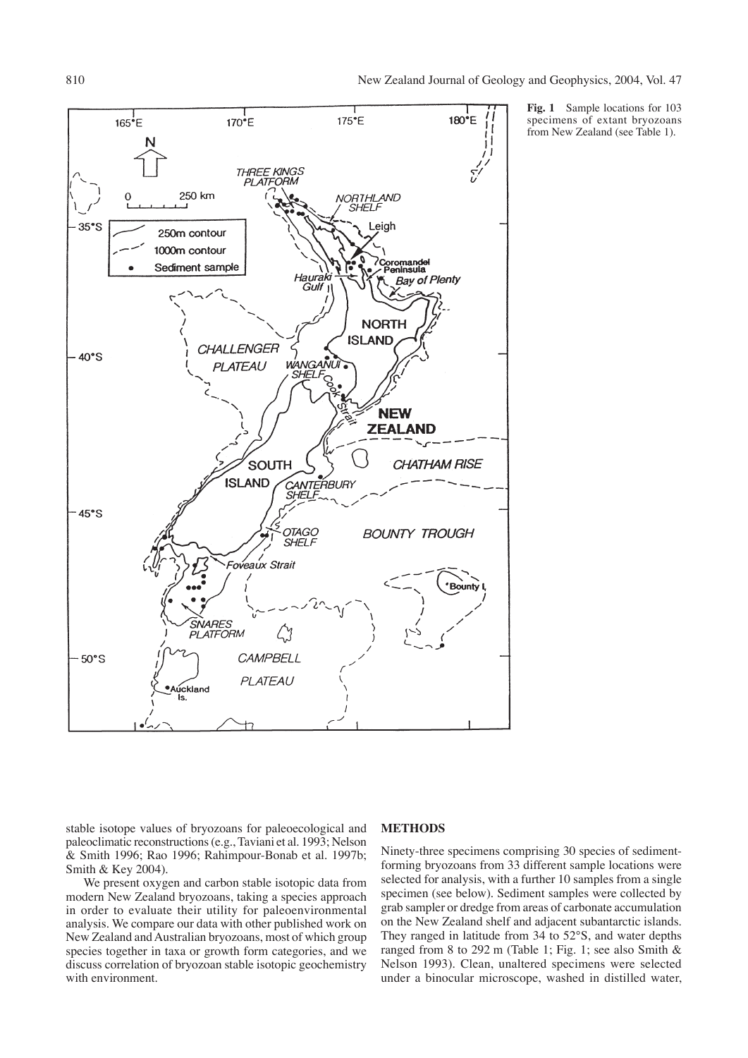

**Fig. 1** Sample locations for 103 specimens of extant bryozoans from New Zealand (see Table 1).

stable isotope values of bryozoans for paleoecological and paleoclimatic reconstructions (e.g., Taviani et al. 1993; Nelson & Smith 1996; Rao 1996; Rahimpour-Bonab et al. 1997b; Smith & Key 2004).

We present oxygen and carbon stable isotopic data from modern New Zealand bryozoans, taking a species approach in order to evaluate their utility for paleoenvironmental analysis. We compare our data with other published work on New Zealand and Australian bryozoans, most of which group species together in taxa or growth form categories, and we discuss correlation of bryozoan stable isotopic geochemistry with environment.

# **METHODS**

Ninety-three specimens comprising 30 species of sedimentforming bryozoans from 33 different sample locations were selected for analysis, with a further 10 samples from a single specimen (see below). Sediment samples were collected by grab sampler or dredge from areas of carbonate accumulation on the New Zealand shelf and adjacent subantarctic islands. They ranged in latitude from 34 to 52°S, and water depths ranged from 8 to 292 m (Table 1; Fig. 1; see also Smith & Nelson 1993). Clean, unaltered specimens were selected under a binocular microscope, washed in distilled water,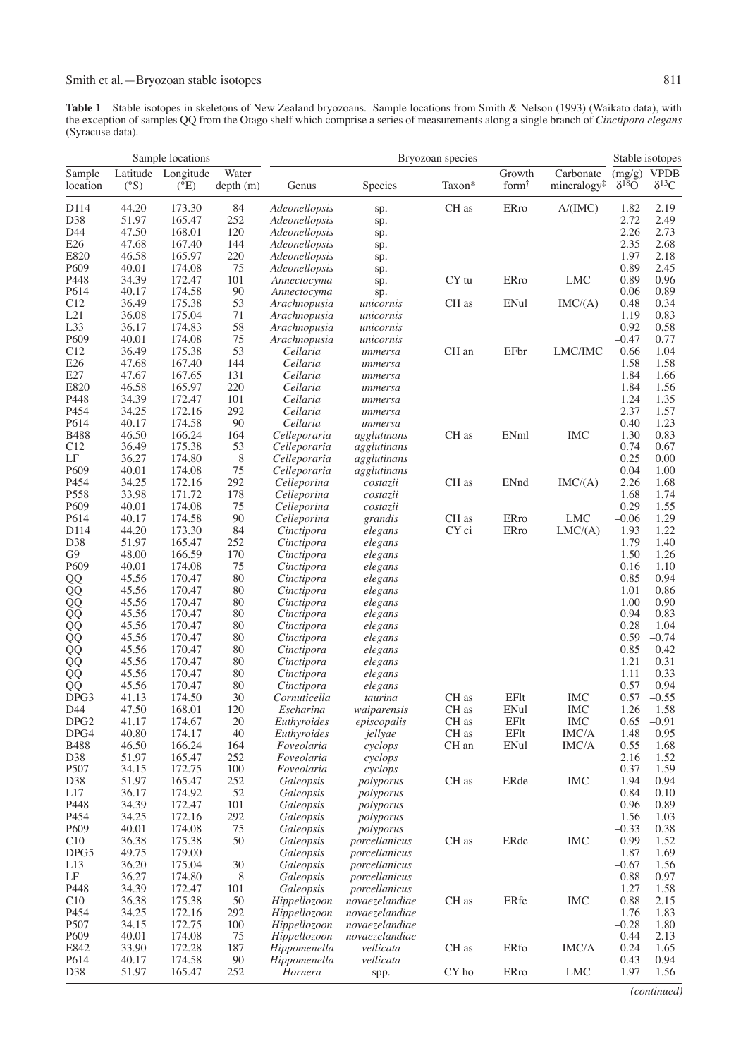**Table 1** Stable isotopes in skeletons of New Zealand bryozoans. Sample locations from Smith & Nelson (1993) (Waikato data), with the exception of samples QQ from the Otago shelf which comprise a series of measurements along a single branch of *Cinctipora elegans* (Syracuse data).

|                       | Sample locations |                                     |                   | Bryozoan species           |                        |        |                             |                                      | Stable isotopes          |                               |
|-----------------------|------------------|-------------------------------------|-------------------|----------------------------|------------------------|--------|-----------------------------|--------------------------------------|--------------------------|-------------------------------|
| Sample<br>location    | $(^\circ S)$     | Latitude Longitude<br>$(^{\circ}E)$ | Water<br>depth(m) | Genus                      | Species                | Taxon* | Growth<br>form <sup>†</sup> | Carbonate<br>mineralogy <sup>#</sup> | (mg/g)<br>$\delta^{18}O$ | <b>VPDB</b><br>$\delta^{13}C$ |
| D114                  | 44.20            | 173.30                              | 84                | Adeonellopsis              | sp.                    | CH as  | ERro                        | A/(IMC)                              | 1.82                     | 2.19                          |
| D38                   | 51.97            | 165.47                              | 252               | Adeonellopsis              | sp.                    |        |                             |                                      | 2.72                     | 2.49                          |
| D44                   | 47.50            | 168.01                              | 120               | Adeonellopsis<br>sp.       |                        |        |                             |                                      | 2.26                     | 2.73                          |
| E26                   | 47.68            | 167.40                              | 144               | Adeonellopsis              | sp.                    |        |                             |                                      | 2.35                     | 2.68                          |
| E820                  | 46.58            | 165.97                              | 220               | Adeonellopsis              | sp.                    |        |                             |                                      | 1.97                     | 2.18                          |
| P609<br>P448          | 40.01<br>34.39   | 174.08<br>172.47                    | 75<br>101         | Adeonellopsis              | sp.                    | CY tu  | ERro                        | <b>LMC</b>                           | 0.89<br>0.89             | 2.45<br>0.96                  |
| P614                  | 40.17            | 174.58                              | 90                | Annectocyma<br>Annectocyma | sp.                    |        |                             |                                      | 0.06                     | 0.89                          |
| C12                   | 36.49            | 175.38                              | 53                | Arachnopusia               | sp.<br>unicornis       | CH as  | ENul                        | IMC(A)                               | 0.48                     | 0.34                          |
| L21                   | 36.08            | 175.04                              | 71                | Arachnopusia               | unicornis              |        |                             |                                      | 1.19                     | 0.83                          |
| L33                   | 36.17            | 174.83                              | 58                | Arachnopusia               | unicornis              |        |                             |                                      | 0.92                     | 0.58                          |
| P609                  | 40.01            | 174.08                              | 75                | Arachnopusia               | unicornis              |        |                             |                                      | $-0.47$                  | 0.77                          |
| C12                   | 36.49            | 175.38                              | 53                | Cellaria                   | immersa                | CH an  | EFbr                        | LMC/IMC                              | 0.66                     | 1.04                          |
| E26                   | 47.68            | 167.40                              | 144               | Cellaria                   | immersa                |        |                             |                                      | 1.58                     | 1.58                          |
| E27                   | 47.67            | 167.65                              | 131               | Cellaria                   | immersa                |        |                             |                                      | 1.84                     | 1.66                          |
| E820                  | 46.58            | 165.97                              | 220               | Cellaria                   | immersa                |        |                             |                                      | 1.84                     | 1.56                          |
| P448<br>P454          | 34.39<br>34.25   | 172.47<br>172.16                    | 101<br>292        | Cellaria<br>Cellaria       | immersa                |        |                             |                                      | 1.24<br>2.37             | 1.35<br>1.57                  |
| P614                  | 40.17            | 174.58                              | 90                | Cellaria                   | immersa<br>immersa     |        |                             |                                      | 0.40                     | 1.23                          |
| <b>B488</b>           | 46.50            | 166.24                              | 164               | Celleporaria               | agglutinans            | CH as  | ENml                        | <b>IMC</b>                           | 1.30                     | 0.83                          |
| C12                   | 36.49            | 175.38                              | 53                | Celleporaria               | agglutinans            |        |                             |                                      | 0.74                     | 0.67                          |
| LF                    | 36.27            | 174.80                              | 8                 | Celleporaria               | agglutinans            |        |                             |                                      | 0.25                     | 0.00                          |
| P609                  | 40.01            | 174.08                              | 75                | Celleporaria               | agglutinans            |        |                             |                                      | 0.04                     | 1.00                          |
| P454                  | 34.25            | 172.16                              | 292               | Celleporina                | costazii               | CH as  | ENnd                        | IMC(A)                               | 2.26                     | 1.68                          |
| P558                  | 33.98            | 171.72                              | 178               | Celleporina                | costazii               |        |                             |                                      | 1.68                     | 1.74                          |
| P609                  | 40.01            | 174.08                              | 75                | Celleporina                | costazii               |        |                             |                                      | 0.29                     | 1.55                          |
| P614                  | 40.17            | 174.58                              | 90                | Celleporina                | grandis                | CH as  | ERro                        | <b>LMC</b>                           | $-0.06$                  | 1.29                          |
| D114                  | 44.20            | 173.30                              | 84                | Cinctipora                 | elegans                | CY ci  | <b>ERro</b>                 | LMC(A)                               | 1.93                     | 1.22                          |
| D38<br>G <sub>9</sub> | 51.97<br>48.00   | 165.47<br>166.59                    | 252<br>170        | Cinctipora<br>Cinctipora   | elegans<br>elegans     |        |                             |                                      | 1.79<br>1.50             | 1.40<br>1.26                  |
| P609                  | 40.01            | 174.08                              | 75                | Cinctipora                 | elegans                |        |                             |                                      | 0.16                     | 1.10                          |
| QQ                    | 45.56            | 170.47                              | 80                | Cinctipora                 | elegans                |        |                             |                                      | 0.85                     | 0.94                          |
| QQ                    | 45.56            | 170.47                              | 80                | Cinctipora                 | elegans                |        |                             |                                      | 1.01                     | 0.86                          |
| QQ                    | 45.56            | 170.47                              | 80                | Cinctipora                 | elegans                |        |                             |                                      | 1.00                     | 0.90                          |
| QQ                    | 45.56            | 170.47                              | 80                | Cinctipora                 | elegans                |        |                             |                                      | 0.94                     | 0.83                          |
| QQ                    | 45.56            | 170.47                              | 80                | Cinctipora                 | elegans                |        |                             |                                      | 0.28                     | 1.04                          |
| QQ                    | 45.56            | 170.47                              | 80                | Cinctipora                 | elegans                |        |                             |                                      | 0.59                     | $-0.74$                       |
| QQ                    | 45.56            | 170.47                              | 80                | Cinctipora                 | elegans                |        |                             |                                      | 0.85                     | 0.42                          |
| QQ                    | 45.56            | 170.47                              | 80                | Cinctipora                 | elegans                |        |                             |                                      | 1.21                     | 0.31                          |
| QQ                    | 45.56            | 170.47                              | 80<br>80          | Cinctipora                 | elegans                |        |                             |                                      | 1.11<br>0.57             | 0.33<br>0.94                  |
| QQ<br>DPG3            | 45.56<br>41.13   | 170.47<br>174.50                    | 30                | Cinctipora<br>Cornuticella | elegans<br>taurina     | CH as  | EFlt                        | <b>IMC</b>                           | 0.57                     | $-0.55$                       |
| D44                   | 47.50            | 168.01                              | 120               | Escharina                  | waiparensis            | CH as  | ENul                        | IMC                                  | 1.26                     | - 1.58                        |
| DPG <sub>2</sub>      | 41.17            | 174.67                              | 20                | Euthyroides                | episcopalis            | CH as  | EFIt                        | <b>IMC</b>                           | 0.65                     | $-0.91$                       |
| DPG4                  | 40.80            | 174.17                              | 40                | Euthyroides                | jellyae                | CH as  | EFIt                        | <b>IMC/A</b>                         | 1.48                     | 0.95                          |
| <b>B488</b>           | 46.50            | 166.24                              | 164               | Foveolaria                 | cyclops                | CH an  | ENul                        | <b>IMC/A</b>                         | 0.55                     | 1.68                          |
| D38                   | 51.97            | 165.47                              | 252               | Foveolaria                 | cyclops                |        |                             |                                      | 2.16                     | 1.52                          |
| P <sub>507</sub>      | 34.15            | 172.75                              | 100               | Foveolaria                 | cyclops                |        |                             |                                      | 0.37                     | 1.59                          |
| D38                   | 51.97            | 165.47                              | 252               | Galeopsis                  | polyporus              | CH as  | ERde                        | <b>IMC</b>                           | 1.94                     | 0.94                          |
| L17                   | 36.17            | 174.92                              | 52                | Galeopsis                  | polyporus              |        |                             |                                      | 0.84                     | 0.10                          |
| P448                  | 34.39            | 172.47                              | 101               | Galeopsis                  | polyporus              |        |                             |                                      | 0.96                     | 0.89                          |
| P454<br>P609          | 34.25<br>40.01   | 172.16<br>174.08                    | 292<br>75         | Galeopsis                  | polyporus<br>polyporus |        |                             |                                      | 1.56<br>$-0.33$          | 1.03<br>0.38                  |
| C10                   | 36.38            | 175.38                              | 50                | Galeopsis<br>Galeopsis     | porcellanicus          | CH as  | ERde                        | <b>IMC</b>                           | 0.99                     | 1.52                          |
| DPG5                  | 49.75            | 179.00                              |                   | Galeopsis                  | porcellanicus          |        |                             |                                      | 1.87                     | 1.69                          |
| L13                   | 36.20            | 175.04                              | 30                | Galeopsis                  | porcellanicus          |        |                             |                                      | $-0.67$                  | 1.56                          |
| LF                    | 36.27            | 174.80                              | 8                 | Galeopsis                  | porcellanicus          |        |                             |                                      | 0.88                     | 0.97                          |
| P448                  | 34.39            | 172.47                              | 101               | Galeopsis                  | porcellanicus          |        |                             |                                      | 1.27                     | 1.58                          |
| C10                   | 36.38            | 175.38                              | 50                | Hippellozoon               | novaezelandiae         | CH as  | ERfe                        | <b>IMC</b>                           | 0.88                     | 2.15                          |
| P454                  | 34.25            | 172.16                              | 292               | Hippellozoon               | novaezelandiae         |        |                             |                                      | 1.76                     | 1.83                          |
| P507                  | 34.15            | 172.75                              | 100               | Hippellozoon               | novaezelandiae         |        |                             |                                      | $-0.28$                  | 1.80                          |
| P609                  | 40.01            | 174.08                              | 75                | Hippellozoon               | novaezelandiae         |        |                             |                                      | 0.44                     | 2.13                          |
| E842                  | 33.90            | 172.28                              | 187               | Hippomenella               | vellicata              | CH as  | ERfo                        | IMC/A                                | 0.24                     | 1.65<br>0.94                  |
| P614<br>D38           | 40.17<br>51.97   | 174.58<br>165.47                    | 90<br>252         | Hippomenella<br>Hornera    | vellicata<br>spp.      | CY ho  | ERro                        | <b>LMC</b>                           | 0.43<br>1.97             | 1.56                          |
|                       |                  |                                     |                   |                            |                        |        |                             |                                      |                          |                               |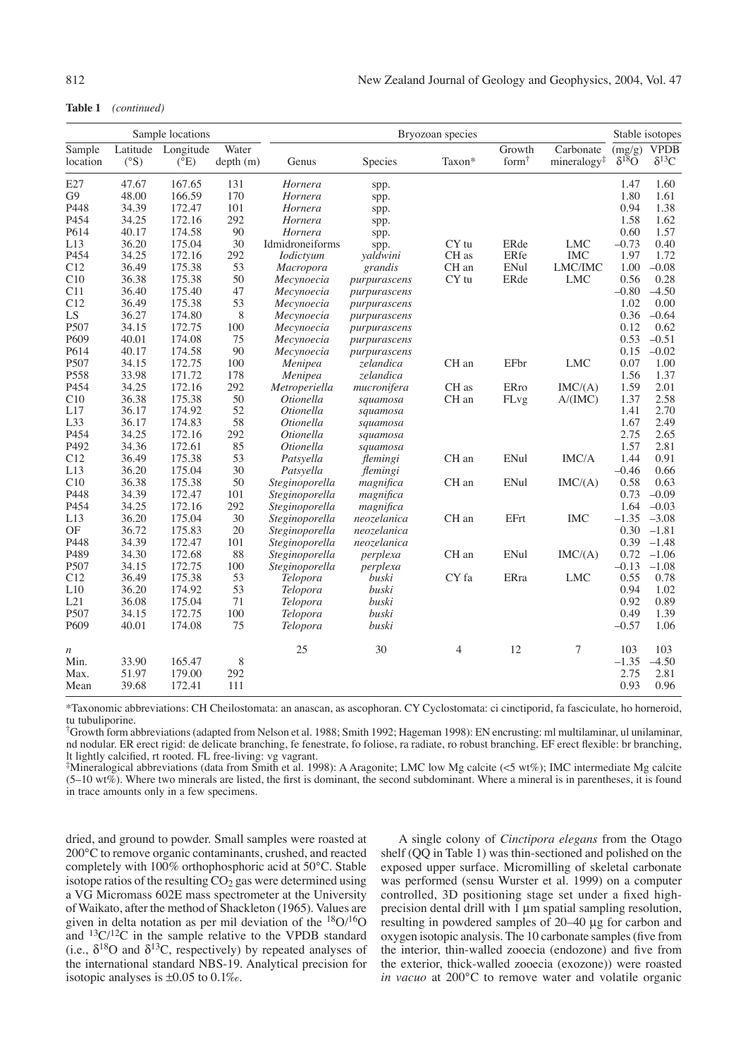Table 1 (continued)

| Sample locations   |              |                                     |                   | Bryozoan species |                 |                  |                             |                                      | Stable isotopes           |                               |
|--------------------|--------------|-------------------------------------|-------------------|------------------|-----------------|------------------|-----------------------------|--------------------------------------|---------------------------|-------------------------------|
| Sample<br>location | $(^\circ S)$ | Latitude Longitude<br>$(^{\circ}E)$ | Water<br>depth(m) | Genus            | Species         | Taxon*           | Growth<br>form <sup>†</sup> | Carbonate<br>mineralogy <sup>#</sup> | (mg/g)<br>$\delta^{18}$ O | <b>VPDB</b><br>$\delta^{13}C$ |
| E27                | 47.67        | 167.65                              | 131               | Hornera          | spp.            |                  |                             |                                      | 1.47                      | 1.60                          |
| G <sub>9</sub>     | 48.00        | 166.59                              | 170               | Hornera          | spp.            |                  |                             |                                      | 1.80                      | 1.61                          |
| P448               | 34.39        | 172.47                              | 101               | Hornera          | spp.            |                  |                             |                                      | 0.94                      | 1.38                          |
| P454               | 34.25        | 172.16                              | 292               | Hornera          | spp.            |                  |                             |                                      | 1.58                      | 1.62                          |
| P614               | 40.17        | 174.58                              | 90                | Hornera          | spp.            |                  |                             |                                      | 0.60                      | 1.57                          |
| L13                | 36.20        | 175.04                              | 30                | Idmidroneiforms  | spp.            | CY <sub>tu</sub> | ERde                        | <b>LMC</b>                           | $-0.73$                   | 0.40                          |
| P454               | 34.25        | 172.16                              | 292               | <i>Iodictyum</i> | valdwini        | CH as            | ERfe                        | <b>IMC</b>                           | 1.97                      | 1.72                          |
| C12                | 36.49        | 175.38                              | 53                | Macropora        | grandis         | CH an            | ENul                        | LMC/IMC                              | 1.00                      | $-0.08$                       |
| C10                | 36.38        | 175.38                              | 50                | Mecynoecia       | purpurascens    | CY <sub>tu</sub> | ERde                        | <b>LMC</b>                           | 0.56                      | 0.28                          |
| C11                | 36.40        | 175.40                              | 47                | Mecynoecia       | purpurascens    |                  |                             |                                      | $-0.80$                   | $-4.50$                       |
| C12                | 36.49        | 175.38                              | 53                | Mecynoecia       | purpurascens    |                  |                             |                                      | 1.02                      | 0.00                          |
| LS                 | 36.27        | 174.80                              | 8                 | Mecynoecia       | purpurascens    |                  |                             |                                      | 0.36                      | $-0.64$                       |
| P507               | 34.15        | 172.75                              | 100               | Mecynoecia       | purpurascens    |                  |                             |                                      | 0.12                      | 0.62                          |
| P609               | 40.01        | 174.08                              | 75                | Mecynoecia       | purpurascens    |                  |                             |                                      | 0.53                      | $-0.51$                       |
| P614               | 40.17        | 174.58                              | 90                | Mecynoecia       | purpurascens    |                  |                             |                                      | 0.15                      | $-0.02$                       |
| P507               | 34.15        | 172.75                              | 100               | Menipea          | zelandica       | CH an            | EFbr                        | <b>LMC</b>                           | 0.07                      | 1.00                          |
| P558               | 33.98        | 171.72                              | 178               | Menipea          | zelandica       |                  |                             |                                      | 1.56                      | 1.37                          |
| P454               | 34.25        | 172.16                              | 292               | Metroperiella    | mucronifera     | CH as            | ERro                        | IMC/(A)                              | 1.59                      | 2.01                          |
| C10                | 36.38        | 175.38                              | 50                | <i>Otionella</i> | squamosa        | CH an            | FLvg                        | A/(IMC)                              | 1.37                      | 2.58                          |
| L17                | 36.17        | 174.92                              | 52                | <i>Otionella</i> | squamosa        |                  |                             |                                      | 1.41                      | 2.70                          |
| L33                | 36.17        | 174.83                              | 58                | <i>Otionella</i> | squamosa        |                  |                             |                                      | 1.67                      | 2.49                          |
| P454               | 34.25        | 172.16                              | 292               | <i>Otionella</i> | squamosa        |                  |                             |                                      | 2.75                      | 2.65                          |
| P492               | 34.36        | 172.61                              | 85                | <i>Otionella</i> | squamosa        |                  |                             |                                      | 1.57                      | 2.81                          |
| C12                | 36.49        | 175.38                              | 53                | Patsyella        | <i>flemingi</i> | CH an            | ENul                        | IMC/A                                | 1.44                      | 0.91                          |
| L13                | 36.20        | 175.04                              | 30                | Patsyella        | flemingi        |                  |                             |                                      | $-0.46$                   | 0.66                          |
| C10                | 36.38        | 175.38                              | 50                | Steginoporella   | magnifica       | CH an            | ENul                        | IMC/(A)                              | 0.58                      | 0.63                          |
| P448               | 34.39        | 172.47                              | 101               | Steginoporella   | magnifica       |                  |                             |                                      | 0.73                      | $-0.09$                       |
| P454               | 34.25        | 172.16                              | 292               | Steginoporella   | magnifica       |                  |                             |                                      | 1.64                      | $-0.03$                       |
| L13                | 36.20        | 175.04                              | 30                | Steginoporella   | neozelanica     | CH an            | EFrt                        | <b>IMC</b>                           | $-1.35$                   | $-3.08$                       |
| OF                 | 36.72        | 175.83                              | 20                | Steginoporella   | neozelanica     |                  |                             |                                      | 0.30                      | $-1.81$                       |
| P448               | 34.39        | 172.47                              | 101               | Steginoporella   | neozelanica     |                  |                             |                                      | 0.39                      | $-1.48$                       |
| P489               | 34.30        | 172.68                              | 88                | Steginoporella   | perplexa        | CH an            | ENul                        | IMC(A)                               | 0.72                      | $-1.06$                       |
| P <sub>507</sub>   | 34.15        | 172.75                              | 100               | Steginoporella   | perplexa        |                  |                             |                                      | $-0.13$                   | $-1.08$                       |
| C12                | 36.49        | 175.38                              | 53                | Telopora         | buski           | CY fa            | ERra                        | ${\rm LMC}$                          | 0.55                      | 0.78                          |
| L10                | 36.20        | 174.92                              | 53                | Telopora         | buski           |                  |                             |                                      | 0.94                      | 1.02                          |
| L21                | 36.08        | 175.04                              | 71                | Telopora         | buski           |                  |                             |                                      | 0.92                      | 0.89                          |
| P <sub>507</sub>   | 34.15        | 172.75                              | 100               | Telopora         | buski           |                  |                             |                                      | 0.49                      | 1.39                          |
| P609               | 40.01        | 174.08                              | 75                | Telopora         | buski           |                  |                             |                                      | $-0.57$                   | 1.06                          |
| $\boldsymbol{n}$   |              |                                     |                   | 25               | 30              | 4                | 12                          | $\overline{7}$                       | 103                       | 103                           |
| Min.               | 33.90        | 165.47                              | 8                 |                  |                 |                  |                             |                                      | $-1.35$                   | $-4.50$                       |
| Max.               | 51.97        | 179.00                              | 292               |                  |                 |                  |                             |                                      | 2.75                      | 2.81                          |
| Mean               | 39.68        | 172.41                              | 111               |                  |                 |                  |                             |                                      | 0.93                      | 0.96                          |

\*Taxonomic abbreviations: CH Cheilostomata: an anascan, as ascophoran. CY Cyclostomata: ci cinctiporid, fa fasciculate, ho horneroid, tu tubuliporine.

<sup>†</sup>Growth form abbreviations (adapted from Nelson et al. 1988; Smith 1992; Hageman 1998): EN encrusting: ml multilaminar, ul unilaminar, nd nodular. ER erect rigid: de delicate branching, fe fenestrate, fo foliose, ra radiate, ro robust branching, EF erect flexible: br branching, It lightly calcified, rt rooted. FL free-living: vg vagrant.

#Mineralogical abbreviations (data from Smith et al. 1998): A Aragonite; LMC low Mg calcite (<5 wt%); IMC intermediate Mg calcite (5-10 wt%). Where two minerals are listed, the first is dominant, the second subdominant. Where a mineral is in parentheses, it is found in trace amounts only in a few specimens.

dried, and ground to powder. Small samples were roasted at 200°C to remove organic contaminants, crushed, and reacted completely with 100% orthophosphoric acid at 50°C. Stable isotope ratios of the resulting  $CO<sub>2</sub>$  gas were determined using a VG Micromass 602E mass spectrometer at the University of Waikato, after the method of Shackleton (1965). Values are given in delta notation as per mil deviation of the  ${}^{18}O/{}^{16}O$ and  ${}^{13}C/{}^{12}C$  in the sample relative to the VPDB standard (i.e.,  $\delta^{18}O$  and  $\delta^{13}C$ , respectively) by repeated analyses of the international standard NBS-19. Analytical precision for isotopic analyses is  $\pm 0.05$  to 0.1%.

A single colony of *Cinctipora elegans* from the Otago shelf (OO in Table 1) was thin-sectioned and polished on the exposed upper surface. Micromilling of skeletal carbonate was performed (sensu Wurster et al. 1999) on a computer controlled, 3D positioning stage set under a fixed highprecision dental drill with 1 µm spatial sampling resolution, resulting in powdered samples of 20–40 µg for carbon and oxygen isotopic analysis. The 10 carbonate samples (five from the interior, thin-walled zooecia (endozone) and five from the exterior, thick-walled zooecia (exozone)) were roasted in vacuo at 200°C to remove water and volatile organic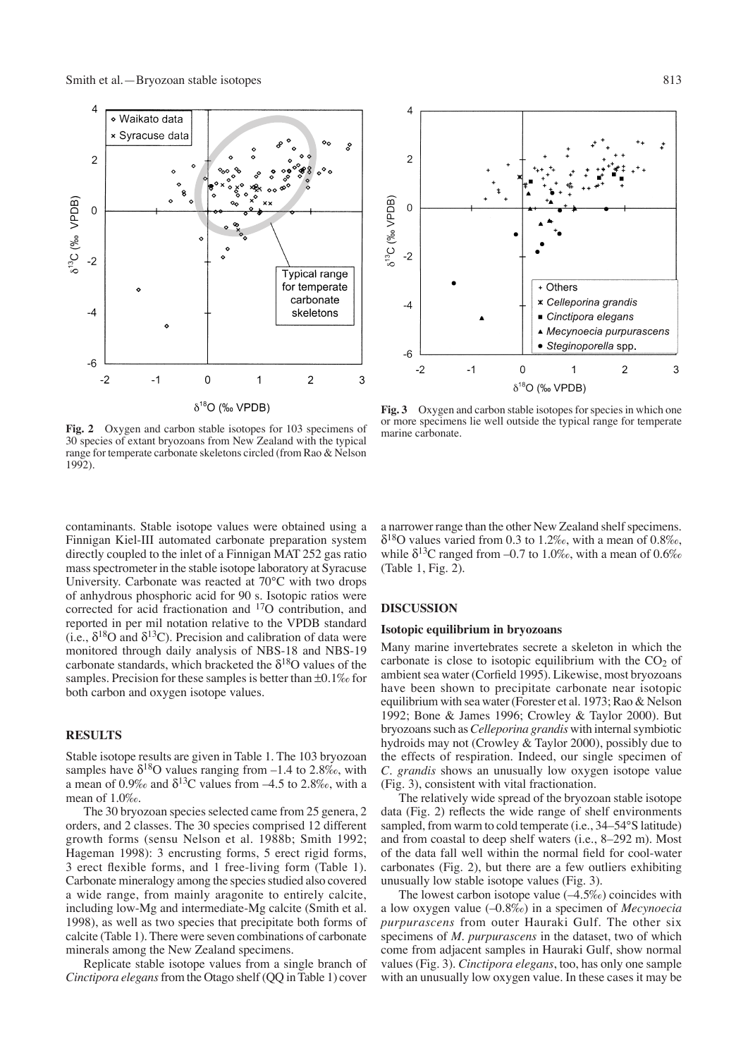

**Fig. 2** Oxygen and carbon stable isotopes for 103 specimens of 30 species of extant bryozoans from New Zealand with the typical range for temperate carbonate skeletons circled (from Rao & Nelson 1992).

contaminants. Stable isotope values were obtained using a Finnigan Kiel-III automated carbonate preparation system directly coupled to the inlet of a Finnigan MAT 252 gas ratio mass spectrometer in the stable isotope laboratory at Syracuse University. Carbonate was reacted at 70°C with two drops of anhydrous phosphoric acid for 90 s. Isotopic ratios were corrected for acid fractionation and 17O contribution, and reported in per mil notation relative to the VPDB standard (i.e.,  $\delta^{18}$ O and  $\delta^{13}$ C). Precision and calibration of data were monitored through daily analysis of NBS-18 and NBS-19 carbonate standards, which bracketed the  $\delta^{18}$ O values of the samples. Precision for these samples is better than ±0.1‰ for both carbon and oxygen isotope values.

# **RESULTS**

Stable isotope results are given in Table 1. The 103 bryozoan samples have  $\delta^{18}O$  values ranging from –1.4 to 2.8‰, with a mean of 0.9‰ and  $\delta^{13}$ C values from -4.5 to 2.8‰, with a mean of 1.0‰.

The 30 bryozoan species selected came from 25 genera, 2 orders, and 2 classes. The 30 species comprised 12 different growth forms (sensu Nelson et al. 1988b; Smith 1992; Hageman 1998): 3 encrusting forms, 5 erect rigid forms, 3 erect flexible forms, and 1 free-living form (Table 1). Carbonate mineralogy among the species studied also covered a wide range, from mainly aragonite to entirely calcite, including low-Mg and intermediate-Mg calcite (Smith et al. 1998), as well as two species that precipitate both forms of calcite (Table 1). There were seven combinations of carbonate minerals among the New Zealand specimens.

Replicate stable isotope values from a single branch of *Cinctipora elegans* from the Otago shelf (QQ in Table 1) cover a narrower range than the other New Zealand shelf specimens.  $\delta^{18}$ O values varied from 0.3 to 1.2‰, with a mean of 0.8‰, while  $\delta^{13}$ C ranged from -0.7 to 1.0‰, with a mean of 0.6‰ (Table 1, Fig. 2).

#### **DISCUSSION**

marine carbonate.

#### **Isotopic equilibrium in bryozoans**

Many marine invertebrates secrete a skeleton in which the carbonate is close to isotopic equilibrium with the  $CO<sub>2</sub>$  of ambient sea water (Corfield 1995). Likewise, most bryozoans have been shown to precipitate carbonate near isotopic equilibrium with sea water (Forester et al. 1973; Rao & Nelson 1992; Bone & James 1996; Crowley & Taylor 2000). But bryozoans such as *Celleporina grandis* with internal symbiotic hydroids may not (Crowley & Taylor 2000), possibly due to the effects of respiration. Indeed, our single specimen of *C. grandis* shows an unusually low oxygen isotope value (Fig. 3), consistent with vital fractionation.

The relatively wide spread of the bryozoan stable isotope data (Fig. 2) reflects the wide range of shelf environments sampled, from warm to cold temperate (i.e., 34–54°S latitude) and from coastal to deep shelf waters (i.e., 8–292 m). Most of the data fall well within the normal field for cool-water carbonates (Fig. 2), but there are a few outliers exhibiting unusually low stable isotope values (Fig. 3).

The lowest carbon isotope value  $(-4.5\%)$  coincides with a low oxygen value (–0.8‰) in a specimen of *Mecynoecia purpurascens* from outer Hauraki Gulf. The other six specimens of *M. purpurascens* in the dataset, two of which come from adjacent samples in Hauraki Gulf, show normal values (Fig. 3). *Cinctipora elegans*, too, has only one sample with an unusually low oxygen value. In these cases it may be

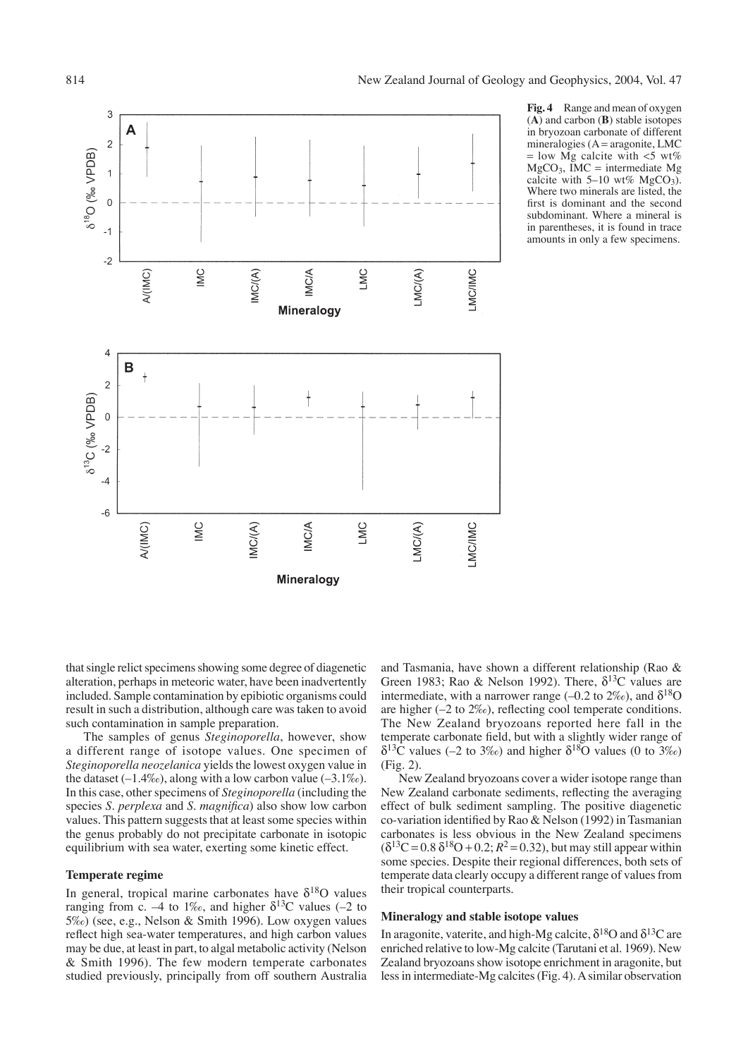

**Fig. 4** Range and mean of oxygen (**A**) and carbon (**B**) stable isotopes in bryozoan carbonate of different mineralogies ( $A = \text{aragonite}$ , LMC  $=$  low Mg calcite with  $\lt$ 5 wt%  $MgCO<sub>3</sub>$ , IMC = intermediate Mg calcite with  $5-10$  wt% MgCO<sub>3</sub>). Where two minerals are listed, the first is dominant and the second subdominant. Where a mineral is in parentheses, it is found in trace amounts in only a few specimens.

that single relict specimens showing some degree of diagenetic alteration, perhaps in meteoric water, have been inadvertently included. Sample contamination by epibiotic organisms could result in such a distribution, although care was taken to avoid such contamination in sample preparation.

The samples of genus *Steginoporella*, however, show a different range of isotope values. One specimen of *Steginoporella neozelanica* yields the lowest oxygen value in the dataset  $(-1.4\%)$ , along with a low carbon value  $(-3.1\%)$ . In this case, other specimens of *Steginoporella* (including the species *S. perplexa* and *S. magnifica*) also show low carbon values. This pattern suggests that at least some species within the genus probably do not precipitate carbonate in isotopic equilibrium with sea water, exerting some kinetic effect.

#### **Temperate regime**

In general, tropical marine carbonates have  $\delta^{18}O$  values ranging from c. –4 to 1‰, and higher  $\delta^{13}$ C values (–2 to 5‰) (see, e.g., Nelson & Smith 1996). Low oxygen values reflect high sea-water temperatures, and high carbon values may be due, at least in part, to algal metabolic activity (Nelson & Smith 1996). The few modern temperate carbonates studied previously, principally from off southern Australia and Tasmania, have shown a different relationship (Rao & Green 1983; Rao & Nelson 1992). There,  $\delta^{13}$ C values are intermediate, with a narrower range (–0.2 to  $2\%$ ), and  $\delta^{18}$ O are higher (–2 to 2‰), reflecting cool temperate conditions. The New Zealand bryozoans reported here fall in the temperate carbonate field, but with a slightly wider range of  $\delta^{13}$ C values (–2 to 3‰) and higher  $\delta^{18}$ O values (0 to 3‰) (Fig. 2).

New Zealand bryozoans cover a wider isotope range than New Zealand carbonate sediments, reflecting the averaging effect of bulk sediment sampling. The positive diagenetic co-variation identified by Rao & Nelson (1992) in Tasmanian carbonates is less obvious in the New Zealand specimens  $(\delta^{13}C = 0.8 \delta^{18}O + 0.2; R^2 = 0.32)$ , but may still appear within some species. Despite their regional differences, both sets of temperate data clearly occupy a different range of values from their tropical counterparts.

# **Mineralogy and stable isotope values**

In aragonite, vaterite, and high-Mg calcite,  $\delta^{18}$ O and  $\delta^{13}$ C are enriched relative to low-Mg calcite (Tarutani et al. 1969). New Zealand bryozoans show isotope enrichment in aragonite, but less in intermediate-Mg calcites (Fig. 4). A similar observation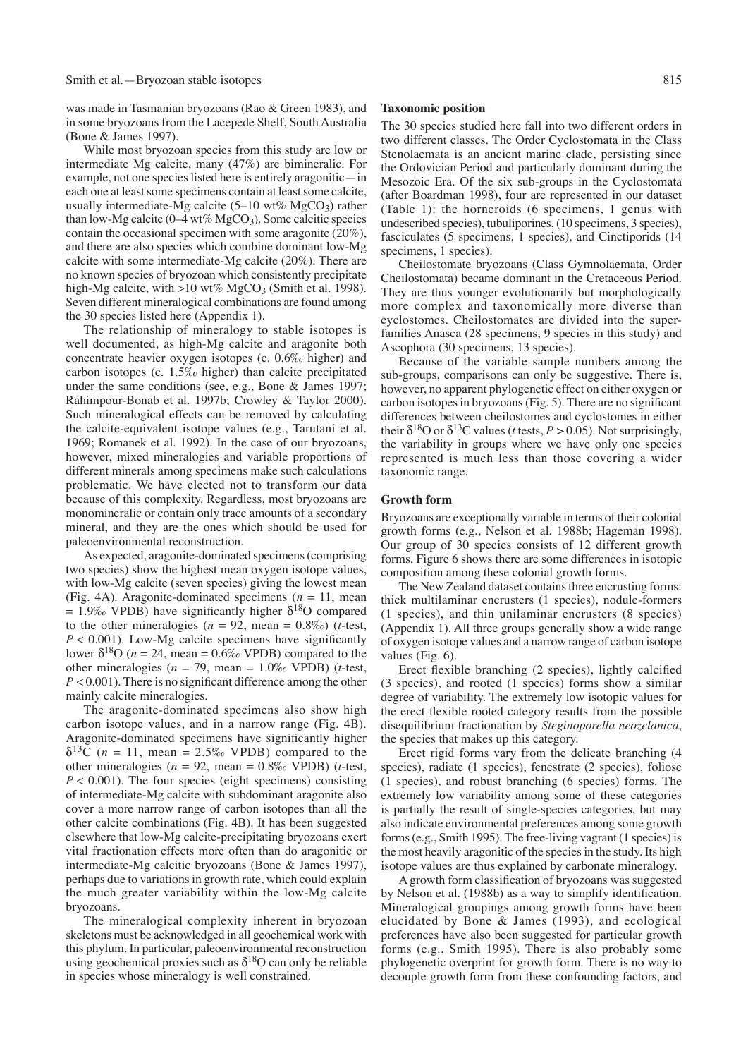was made in Tasmanian bryozoans (Rao & Green 1983), and in some bryozoans from the Lacepede Shelf, South Australia (Bone & James 1997).

While most bryozoan species from this study are low or intermediate Mg calcite, many (47%) are bimineralic. For example, not one species listed here is entirely aragonitic—in each one at least some specimens contain at least some calcite, usually intermediate-Mg calcite (5–10 wt%  $MgCO<sub>3</sub>$ ) rather than low-Mg calcite ( $0-4$  wt% MgCO<sub>3</sub>). Some calcitic species contain the occasional specimen with some aragonite (20%), and there are also species which combine dominant low-Mg calcite with some intermediate-Mg calcite (20%). There are no known species of bryozoan which consistently precipitate high-Mg calcite, with >10 wt% MgCO<sub>3</sub> (Smith et al. 1998). Seven different mineralogical combinations are found among the 30 species listed here (Appendix 1).

The relationship of mineralogy to stable isotopes is well documented, as high-Mg calcite and aragonite both concentrate heavier oxygen isotopes (c. 0.6‰ higher) and carbon isotopes (c. 1.5‰ higher) than calcite precipitated under the same conditions (see, e.g., Bone & James 1997; Rahimpour-Bonab et al. 1997b; Crowley & Taylor 2000). Such mineralogical effects can be removed by calculating the calcite-equivalent isotope values (e.g., Tarutani et al. 1969; Romanek et al. 1992). In the case of our bryozoans, however, mixed mineralogies and variable proportions of different minerals among specimens make such calculations problematic. We have elected not to transform our data because of this complexity. Regardless, most bryozoans are monomineralic or contain only trace amounts of a secondary mineral, and they are the ones which should be used for paleoenvironmental reconstruction.

As expected, aragonite-dominated specimens (comprising two species) show the highest mean oxygen isotope values, with low-Mg calcite (seven species) giving the lowest mean (Fig. 4A). Aragonite-dominated specimens (*n* = 11, mean = 1.9‰ VPDB) have significantly higher  $\delta^{18}O$  compared to the other mineralogies ( $n = 92$ , mean = 0.8‰) ( $t$ -test,  $P < 0.001$ ). Low-Mg calcite specimens have significantly lower  $\delta^{18}O$  ( $n = 24$ , mean = 0.6‰ VPDB) compared to the other mineralogies (*n* = 79, mean = 1.0‰ VPDB) (*t*-test, *P* < 0.001). There is no significant difference among the other mainly calcite mineralogies.

The aragonite-dominated specimens also show high carbon isotope values, and in a narrow range (Fig. 4B). Aragonite-dominated specimens have significantly higher  $\delta^{13}$ C (*n* = 11, mean = 2.5‰ VPDB) compared to the other mineralogies ( $n = 92$ , mean = 0.8% VPDB) (*t*-test,  $P < 0.001$ ). The four species (eight specimens) consisting of intermediate-Mg calcite with subdominant aragonite also cover a more narrow range of carbon isotopes than all the other calcite combinations (Fig. 4B). It has been suggested elsewhere that low-Mg calcite-precipitating bryozoans exert vital fractionation effects more often than do aragonitic or intermediate-Mg calcitic bryozoans (Bone & James 1997), perhaps due to variations in growth rate, which could explain the much greater variability within the low-Mg calcite bryozoans.

The mineralogical complexity inherent in bryozoan skeletons must be acknowledged in all geochemical work with this phylum. In particular, paleoenvironmental reconstruction using geochemical proxies such as  $\delta^{18}$ O can only be reliable in species whose mineralogy is well constrained.

#### **Taxonomic position**

The 30 species studied here fall into two different orders in two different classes. The Order Cyclostomata in the Class Stenolaemata is an ancient marine clade, persisting since the Ordovician Period and particularly dominant during the Mesozoic Era. Of the six sub-groups in the Cyclostomata (after Boardman 1998), four are represented in our dataset (Table 1): the horneroids (6 specimens, 1 genus with undescribed species), tubuliporines, (10 specimens, 3 species), fasciculates (5 specimens, 1 species), and Cinctiporids (14 specimens, 1 species).

Cheilostomate bryozoans (Class Gymnolaemata, Order Cheilostomata) became dominant in the Cretaceous Period. They are thus younger evolutionarily but morphologically more complex and taxonomically more diverse than cyclostomes. Cheilostomates are divided into the superfamilies Anasca (28 specimens, 9 species in this study) and Ascophora (30 specimens, 13 species).

Because of the variable sample numbers among the sub-groups, comparisons can only be suggestive. There is, however, no apparent phylogenetic effect on either oxygen or carbon isotopes in bryozoans (Fig. 5). There are no significant differences between cheilostomes and cyclostomes in either their  $\delta^{18}$ O or  $\delta^{13}$ C values (*t* tests, *P* > 0.05). Not surprisingly, the variability in groups where we have only one species represented is much less than those covering a wider taxonomic range.

## **Growth form**

Bryozoans are exceptionally variable in terms of their colonial growth forms (e.g., Nelson et al. 1988b; Hageman 1998). Our group of 30 species consists of 12 different growth forms. Figure 6 shows there are some differences in isotopic composition among these colonial growth forms.

The New Zealand dataset contains three encrusting forms: thick multilaminar encrusters (1 species), nodule-formers (1 species), and thin unilaminar encrusters (8 species) (Appendix 1). All three groups generally show a wide range of oxygen isotope values and a narrow range of carbon isotope values (Fig. 6).

Erect flexible branching (2 species), lightly calcified (3 species), and rooted (1 species) forms show a similar degree of variability. The extremely low isotopic values for the erect flexible rooted category results from the possible disequilibrium fractionation by *Steginoporella neozelanica*, the species that makes up this category.

Erect rigid forms vary from the delicate branching (4 species), radiate (1 species), fenestrate (2 species), foliose (1 species), and robust branching (6 species) forms. The extremely low variability among some of these categories is partially the result of single-species categories, but may also indicate environmental preferences among some growth forms (e.g., Smith 1995). The free-living vagrant (1 species) is the most heavily aragonitic of the species in the study. Its high isotope values are thus explained by carbonate mineralogy.

A growth form classification of bryozoans was suggested by Nelson et al. (1988b) as a way to simplify identification. Mineralogical groupings among growth forms have been elucidated by Bone & James (1993), and ecological preferences have also been suggested for particular growth forms (e.g., Smith 1995). There is also probably some phylogenetic overprint for growth form. There is no way to decouple growth form from these confounding factors, and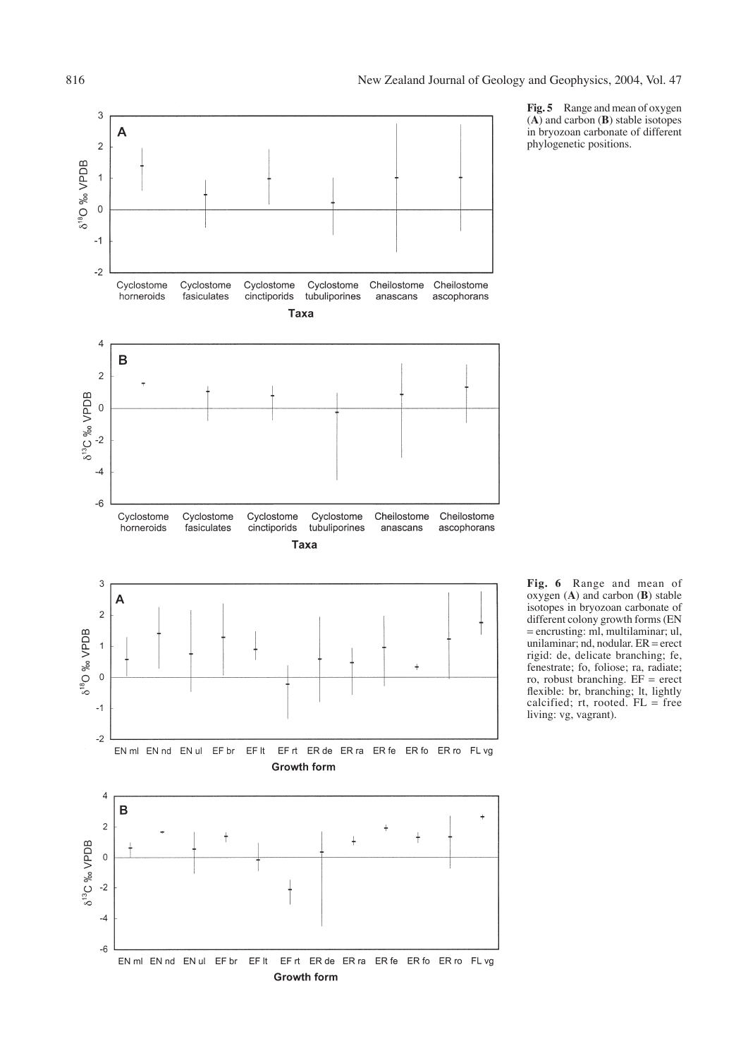

**Fig. 5** Range and mean of oxygen (**A**) and carbon (**B**) stable isotopes in bryozoan carbonate of different phylogenetic positions.

**Fig. 6** Range and mean of oxygen (**A**) and carbon (**B**) stable isotopes in bryozoan carbonate of different colony growth forms (EN = encrusting: ml, multilaminar; ul, unilaminar; nd, nodular. ER = erect rigid: de, delicate branching; fe, fenestrate; fo, foliose; ra, radiate; ro, robust branching. EF = erect flexible: br, branching; lt, lightly calcified;  $rt$ , rooted.  $FL = free$ living: vg, vagrant).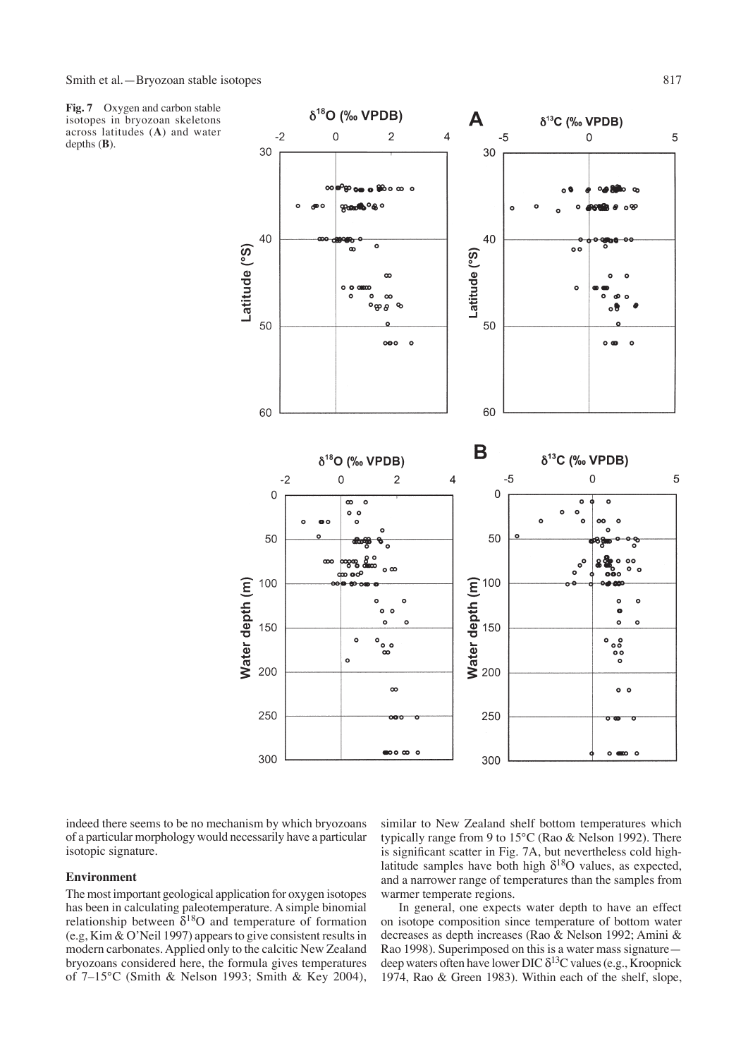**Fig. 7** Oxygen and carbon stable isotopes in bryozoan skeletons across latitudes (**A**) and water depths (**B**).



indeed there seems to be no mechanism by which bryozoans of a particular morphology would necessarily have a particular isotopic signature.

# **Environment**

The most important geological application for oxygen isotopes has been in calculating paleotemperature. A simple binomial relationship between  $\delta^{18}$ O and temperature of formation (e.g, Kim & O'Neil 1997) appears to give consistent results in modern carbonates. Applied only to the calcitic New Zealand bryozoans considered here, the formula gives temperatures of 7–15°C (Smith & Nelson 1993; Smith & Key 2004),

similar to New Zealand shelf bottom temperatures which typically range from 9 to 15°C (Rao & Nelson 1992). There is significant scatter in Fig. 7A, but nevertheless cold highlatitude samples have both high  $\delta^{18}$ O values, as expected, and a narrower range of temperatures than the samples from warmer temperate regions.

In general, one expects water depth to have an effect on isotope composition since temperature of bottom water decreases as depth increases (Rao & Nelson 1992; Amini & Rao 1998). Superimposed on this is a water mass signature deep waters often have lower DIC  $\delta^{13}$ C values (e.g., Kroopnick 1974, Rao & Green 1983). Within each of the shelf, slope,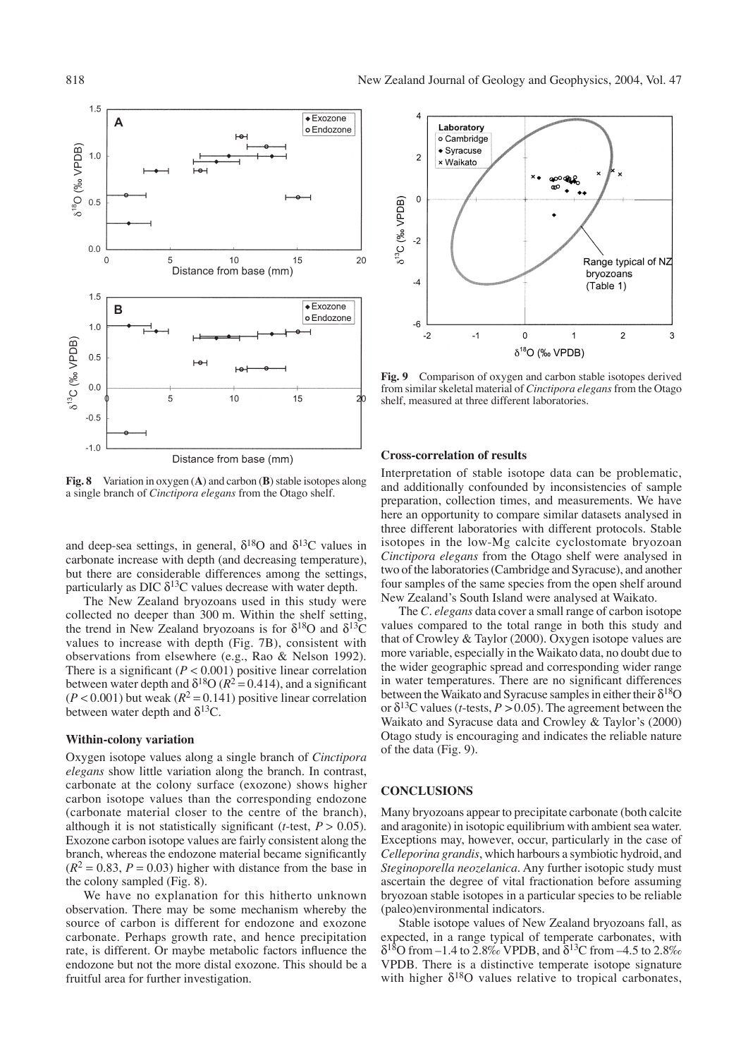

**Fig. 8** Variation in oxygen (**A**) and carbon (**B**) stable isotopes along a single branch of *Cinctipora elegans* from the Otago shelf.

and deep-sea settings, in general,  $\delta^{18}$ O and  $\delta^{13}$ C values in carbonate increase with depth (and decreasing temperature), but there are considerable differences among the settings, particularly as DIC  $\delta^{13}$ C values decrease with water depth.

The New Zealand bryozoans used in this study were collected no deeper than 300 m. Within the shelf setting, the trend in New Zealand bryozoans is for  $\delta^{18}O$  and  $\delta^{13}O$ values to increase with depth (Fig. 7B), consistent with observations from elsewhere (e.g., Rao & Nelson 1992). There is a significant  $(P < 0.001)$  positive linear correlation between water depth and  $\delta^{18}O (R^2 = 0.414)$ , and a significant  $(P < 0.001)$  but weak  $(R^2 = 0.141)$  positive linear correlation between water depth and  $\delta^{13}$ C.

#### **Within-colony variation**

Oxygen isotope values along a single branch of *Cinctipora elegans* show little variation along the branch. In contrast, carbonate at the colony surface (exozone) shows higher carbon isotope values than the corresponding endozone (carbonate material closer to the centre of the branch), although it is not statistically significant ( $t$ -test,  $P > 0.05$ ). Exozone carbon isotope values are fairly consistent along the branch, whereas the endozone material became significantly  $(R^2 = 0.83, P = 0.03)$  higher with distance from the base in the colony sampled (Fig. 8).

We have no explanation for this hitherto unknown observation. There may be some mechanism whereby the source of carbon is different for endozone and exozone carbonate. Perhaps growth rate, and hence precipitation rate, is different. Or maybe metabolic factors influence the endozone but not the more distal exozone. This should be a fruitful area for further investigation.



**Fig. 9** Comparison of oxygen and carbon stable isotopes derived from similar skeletal material of *Cinctipora elegans* from the Otago shelf, measured at three different laboratories.

# **Cross-correlation of results**

Interpretation of stable isotope data can be problematic, and additionally confounded by inconsistencies of sample preparation, collection times, and measurements. We have here an opportunity to compare similar datasets analysed in three different laboratories with different protocols. Stable isotopes in the low-Mg calcite cyclostomate bryozoan *Cinctipora elegans* from the Otago shelf were analysed in two of the laboratories (Cambridge and Syracuse), and another four samples of the same species from the open shelf around New Zealand's South Island were analysed at Waikato.

The *C. elegans* data cover a small range of carbon isotope values compared to the total range in both this study and that of Crowley & Taylor (2000). Oxygen isotope values are more variable, especially in the Waikato data, no doubt due to the wider geographic spread and corresponding wider range in water temperatures. There are no significant differences between the Waikato and Syracuse samples in either their  $\delta^{18}O$ or  $\delta^{13}$ C values (*t*-tests, *P* > 0.05). The agreement between the Waikato and Syracuse data and Crowley & Taylor's (2000) Otago study is encouraging and indicates the reliable nature of the data (Fig. 9).

# **CONCLUSIONS**

Many bryozoans appear to precipitate carbonate (both calcite and aragonite) in isotopic equilibrium with ambient sea water. Exceptions may, however, occur, particularly in the case of *Celleporina grandis*, which harbours a symbiotic hydroid, and *Steginoporella neozelanica*. Any further isotopic study must ascertain the degree of vital fractionation before assuming bryozoan stable isotopes in a particular species to be reliable (paleo)environmental indicators.

Stable isotope values of New Zealand bryozoans fall, as expected, in a range typical of temperate carbonates, with  $δ<sup>18</sup>O$  from –1.4 to 2.8‰ VPDB, and  $δ<sup>13</sup>C$  from –4.5 to 2.8‰ VPDB. There is a distinctive temperate isotope signature with higher  $\delta^{18}O$  values relative to tropical carbonates,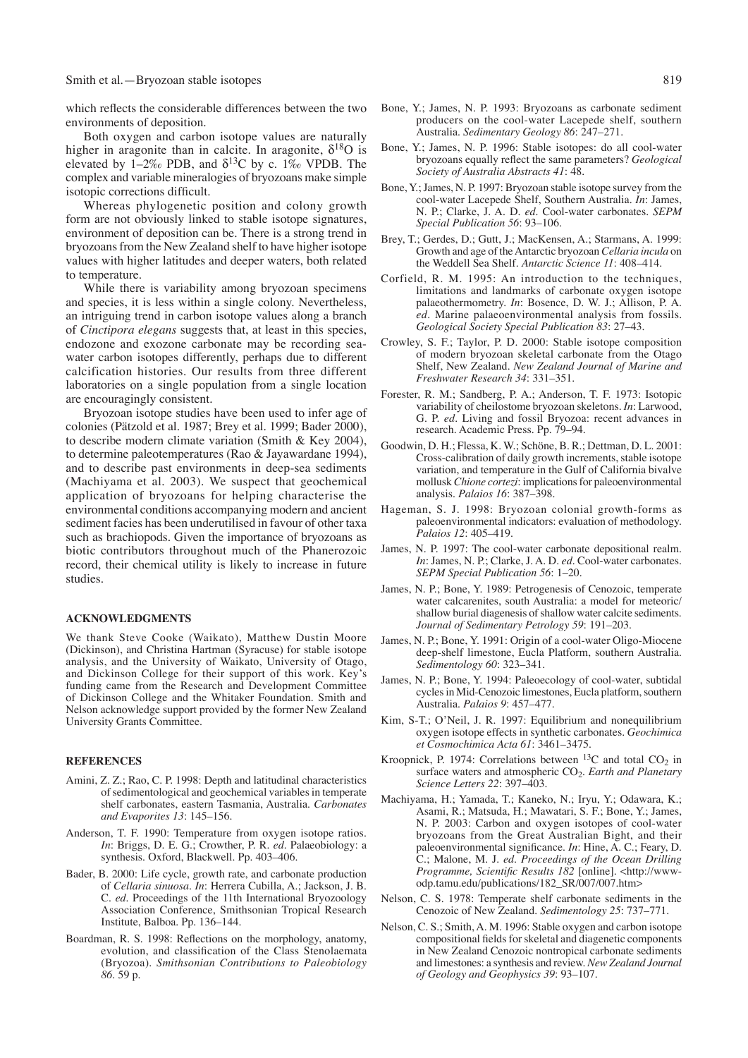#### Smith et al.—Bryozoan stable isotopes 819

which reflects the considerable differences between the two environments of deposition.

Both oxygen and carbon isotope values are naturally higher in aragonite than in calcite. In aragonite,  $\delta^{18}O$  is elevated by 1–2‰ PDB, and  $\delta^{13}$ C by c. 1‰ VPDB. The complex and variable mineralogies of bryozoans make simple isotopic corrections difficult.

Whereas phylogenetic position and colony growth form are not obviously linked to stable isotope signatures, environment of deposition can be. There is a strong trend in bryozoans from the New Zealand shelf to have higher isotope values with higher latitudes and deeper waters, both related to temperature.

While there is variability among bryozoan specimens and species, it is less within a single colony. Nevertheless, an intriguing trend in carbon isotope values along a branch of *Cinctipora elegans* suggests that, at least in this species, endozone and exozone carbonate may be recording seawater carbon isotopes differently, perhaps due to different calcification histories. Our results from three different laboratories on a single population from a single location are encouragingly consistent.

Bryozoan isotope studies have been used to infer age of colonies (Pätzold et al. 1987; Brey et al. 1999; Bader 2000), to describe modern climate variation (Smith & Key 2004), to determine paleotemperatures (Rao & Jayawardane 1994), and to describe past environments in deep-sea sediments (Machiyama et al. 2003). We suspect that geochemical application of bryozoans for helping characterise the environmental conditions accompanying modern and ancient sediment facies has been underutilised in favour of other taxa such as brachiopods. Given the importance of bryozoans as biotic contributors throughout much of the Phanerozoic record, their chemical utility is likely to increase in future studies.

# **ACKNOWLEDGMENTS**

We thank Steve Cooke (Waikato), Matthew Dustin Moore (Dickinson), and Christina Hartman (Syracuse) for stable isotope analysis, and the University of Waikato, University of Otago, and Dickinson College for their support of this work. Key's funding came from the Research and Development Committee of Dickinson College and the Whitaker Foundation. Smith and Nelson acknowledge support provided by the former New Zealand University Grants Committee.

#### **REFERENCES**

- Amini, Z. Z.; Rao, C. P. 1998: Depth and latitudinal characteristics of sedimentological and geochemical variables in temperate shelf carbonates, eastern Tasmania, Australia. *Carbonates and Evaporites 13*: 145–156.
- Anderson, T. F. 1990: Temperature from oxygen isotope ratios. *In*: Briggs, D. E. G.; Crowther, P. R. *ed*. Palaeobiology: a synthesis. Oxford, Blackwell. Pp. 403–406.
- Bader, B. 2000: Life cycle, growth rate, and carbonate production of *Cellaria sinuosa*. *In*: Herrera Cubilla, A.; Jackson, J. B. C. *ed*. Proceedings of the 11th International Bryozoology Association Conference, Smithsonian Tropical Research Institute, Balboa. Pp. 136–144.
- Boardman, R. S. 1998: Reflections on the morphology, anatomy, evolution, and classification of the Class Stenolaemata (Bryozoa). *Smithsonian Contributions to Paleobiology 86*. 59 p.
- Bone, Y.; James, N. P. 1993: Bryozoans as carbonate sediment producers on the cool-water Lacepede shelf, southern Australia. *Sedimentary Geology 86*: 247–271.
- Bone, Y.; James, N. P. 1996: Stable isotopes: do all cool-water bryozoans equally reflect the same parameters? *Geological Society of Australia Abstracts 41*: 48.
- Bone, Y.; James, N. P. 1997: Bryozoan stable isotope survey from the cool-water Lacepede Shelf, Southern Australia. *In*: James, N. P.; Clarke, J. A. D. *ed*. Cool-water carbonates. *SEPM Special Publication 56*: 93–106.
- Brey, T.; Gerdes, D.; Gutt, J.; MacKensen, A.; Starmans, A. 1999: Growth and age of the Antarctic bryozoan *Cellaria incula* on the Weddell Sea Shelf. *Antarctic Science 11*: 408–414.
- Corfield, R. M. 1995: An introduction to the techniques, limitations and landmarks of carbonate oxygen isotope palaeothermometry. *In*: Bosence, D. W. J.; Allison, P. A. *ed*. Marine palaeoenvironmental analysis from fossils. *Geological Society Special Publication 83*: 27–43.
- Crowley, S. F.; Taylor, P. D. 2000: Stable isotope composition of modern bryozoan skeletal carbonate from the Otago Shelf, New Zealand*. New Zealand Journal of Marine and Freshwater Research 34*: 331–351.
- Forester, R. M.; Sandberg, P. A.; Anderson, T. F. 1973: Isotopic variability of cheilostome bryozoan skeletons. *In*: Larwood, G. P. *ed*. Living and fossil Bryozoa: recent advances in research. Academic Press. Pp. 79–94.
- Goodwin, D. H.; Flessa, K. W.; Schöne, B. R.; Dettman, D. L. 2001: Cross-calibration of daily growth increments, stable isotope variation, and temperature in the Gulf of California bivalve mollusk *Chione cortezi*: implications for paleoenvironmental analysis. *Palaios 16*: 387–398.
- Hageman, S. J. 1998: Bryozoan colonial growth-forms as paleoenvironmental indicators: evaluation of methodology. *Palaios 12*: 405–419.
- James, N. P. 1997: The cool-water carbonate depositional realm. *In*: James, N. P.; Clarke, J. A. D. *ed*. Cool-water carbonates. *SEPM Special Publication 56*: 1–20.
- James, N. P.; Bone, Y. 1989: Petrogenesis of Cenozoic, temperate water calcarenites, south Australia: a model for meteoric/ shallow burial diagenesis of shallow water calcite sediments. *Journal of Sedimentary Petrology 59*: 191–203.
- James, N. P.; Bone, Y. 1991: Origin of a cool-water Oligo-Miocene deep-shelf limestone, Eucla Platform, southern Australia. *Sedimentology 60*: 323–341.
- James, N. P.; Bone, Y. 1994: Paleoecology of cool-water, subtidal cycles in Mid-Cenozoic limestones, Eucla platform, southern Australia. *Palaios 9*: 457–477.
- Kim, S-T.; O'Neil, J. R. 1997: Equilibrium and nonequilibrium oxygen isotope effects in synthetic carbonates. *Geochimica et Cosmochimica Acta 61*: 3461–3475.
- Kroopnick, P. 1974: Correlations between  ${}^{13}$ C and total CO<sub>2</sub> in surface waters and atmospheric CO<sub>2</sub>. *Earth and Planetary Science Letters 22*: 397–403.
- Machiyama, H.; Yamada, T.; Kaneko, N.; Iryu, Y.; Odawara, K.; Asami, R.; Matsuda, H.; Mawatari, S. F.; Bone, Y.; James, N. P. 2003: Carbon and oxygen isotopes of cool-water bryozoans from the Great Australian Bight, and their paleoenvironmental significance. *In*: Hine, A. C.; Feary, D. C.; Malone, M. J. *ed*. *Proceedings of the Ocean Drilling Programme, Scientific Results 182* [online]. <http://wwwodp.tamu.edu/publications/182\_SR/007/007.htm>
- Nelson, C. S. 1978: Temperate shelf carbonate sediments in the Cenozoic of New Zealand. *Sedimentology 25*: 737–771.
- Nelson, C. S.; Smith, A. M. 1996: Stable oxygen and carbon isotope compositional fields for skeletal and diagenetic components in New Zealand Cenozoic nontropical carbonate sediments and limestones: a synthesis and review. *New Zealand Journal of Geology and Geophysics 39*: 93–107.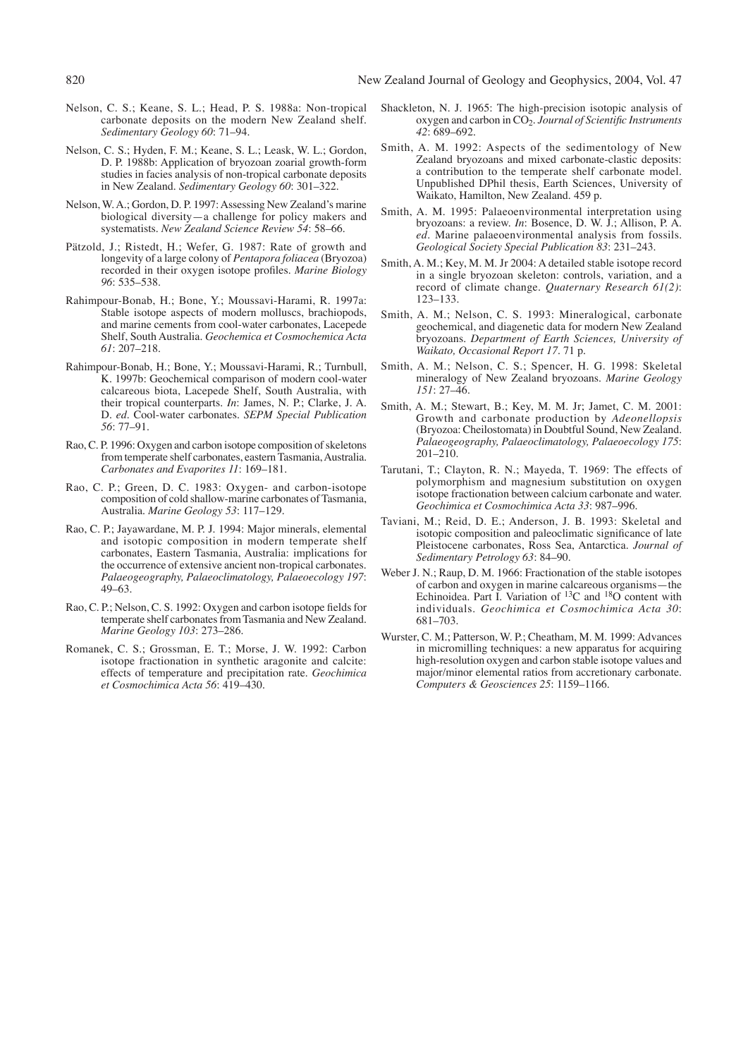- 820 New Zealand Journal of Geology and Geophysics, 2004, Vol. 47
- Nelson, C. S.; Keane, S. L.; Head, P. S. 1988a: Non-tropical carbonate deposits on the modern New Zealand shelf. *Sedimentary Geology 60*: 71–94.
- Nelson, C. S.; Hyden, F. M.; Keane, S. L.; Leask, W. L.; Gordon, D. P. 1988b: Application of bryozoan zoarial growth-form studies in facies analysis of non-tropical carbonate deposits in New Zealand. *Sedimentary Geology 60*: 301–322.
- Nelson, W. A.; Gordon, D. P. 1997: Assessing New Zealand's marine biological diversity—a challenge for policy makers and systematists. *New Zealand Science Review 54*: 58–66.
- Pätzold, J.; Ristedt, H.; Wefer, G. 1987: Rate of growth and longevity of a large colony of *Pentapora foliacea* (Bryozoa) recorded in their oxygen isotope profiles. *Marine Biology 96*: 535–538.
- Rahimpour-Bonab, H.; Bone, Y.; Moussavi-Harami, R. 1997a: Stable isotope aspects of modern molluscs, brachiopods, and marine cements from cool-water carbonates, Lacepede Shelf, South Australia. *Geochemica et Cosmochemica Acta 61*: 207–218.
- Rahimpour-Bonab, H.; Bone, Y.; Moussavi-Harami, R.; Turnbull, K. 1997b: Geochemical comparison of modern cool-water calcareous biota, Lacepede Shelf, South Australia, with their tropical counterparts. *In*: James, N. P.; Clarke, J. A. D. *ed*. Cool-water carbonates. *SEPM Special Publication 56*: 77–91.
- Rao, C. P. 1996: Oxygen and carbon isotope composition of skeletons from temperate shelf carbonates, eastern Tasmania, Australia. *Carbonates and Evaporites 11*: 169–181.
- Rao, C. P.; Green, D. C. 1983: Oxygen- and carbon-isotope composition of cold shallow-marine carbonates of Tasmania, Australia. *Marine Geology 53*: 117–129.
- Rao, C. P.; Jayawardane, M. P. J. 1994: Major minerals, elemental and isotopic composition in modern temperate shelf carbonates, Eastern Tasmania, Australia: implications for the occurrence of extensive ancient non-tropical carbonates. *Palaeogeography, Palaeoclimatology, Palaeoecology 197*: 49–63.
- Rao, C. P.; Nelson, C. S. 1992: Oxygen and carbon isotope fields for temperate shelf carbonates from Tasmania and New Zealand. *Marine Geology 103*: 273–286.
- Romanek, C. S.; Grossman, E. T.; Morse, J. W. 1992: Carbon isotope fractionation in synthetic aragonite and calcite: effects of temperature and precipitation rate. *Geochimica et Cosmochimica Acta 56*: 419–430.
- Shackleton, N. J. 1965: The high-precision isotopic analysis of oxygen and carbon in CO2. *Journal of Scientific Instruments 42*: 689–692.
- Smith, A. M. 1992: Aspects of the sedimentology of New Zealand bryozoans and mixed carbonate-clastic deposits: a contribution to the temperate shelf carbonate model. Unpublished DPhil thesis, Earth Sciences, University of Waikato, Hamilton, New Zealand. 459 p.
- Smith, A. M. 1995: Palaeoenvironmental interpretation using bryozoans: a review. *In*: Bosence, D. W. J.; Allison, P. A. *ed*. Marine palaeoenvironmental analysis from fossils. *Geological Society Special Publication 83*: 231–243.
- Smith, A. M.; Key, M. M. Jr 2004: A detailed stable isotope record in a single bryozoan skeleton: controls, variation, and a record of climate change. *Quaternary Research 61(2)*: 123–133.
- Smith, A. M.; Nelson, C. S. 1993: Mineralogical, carbonate geochemical, and diagenetic data for modern New Zealand bryozoans. *Department of Earth Sciences, University of Waikato, Occasional Report 17*. 71 p.
- Smith, A. M.; Nelson, C. S.; Spencer, H. G. 1998: Skeletal mineralogy of New Zealand bryozoans. *Marine Geology 151*: 27–46.
- Smith, A. M.; Stewart, B.; Key, M. M. Jr; Jamet, C. M. 2001: Growth and carbonate production by *Adeonellopsis* (Bryozoa: Cheilostomata) in Doubtful Sound, New Zealand. *Palaeogeography, Palaeoclimatology, Palaeoecology 175*: 201–210.
- Tarutani, T.; Clayton, R. N.; Mayeda, T. 1969: The effects of polymorphism and magnesium substitution on oxygen isotope fractionation between calcium carbonate and water. *Geochimica et Cosmochimica Acta 33*: 987–996.
- Taviani, M.; Reid, D. E.; Anderson, J. B. 1993: Skeletal and isotopic composition and paleoclimatic significance of late Pleistocene carbonates, Ross Sea, Antarctica. *Journal of Sedimentary Petrology 63*: 84–90.
- Weber J. N.; Raup, D. M. 1966: Fractionation of the stable isotopes of carbon and oxygen in marine calcareous organisms—the Echinoidea. Part I. Variation of  $^{13}$ C and  $^{18}$ O content with individuals. *Geochimica et Cosmochimica Acta 30*: 681–703.
- Wurster, C. M.; Patterson, W. P.; Cheatham, M. M. 1999: Advances in micromilling techniques: a new apparatus for acquiring high-resolution oxygen and carbon stable isotope values and major/minor elemental ratios from accretionary carbonate. *Computers & Geosciences 25*: 1159–1166.